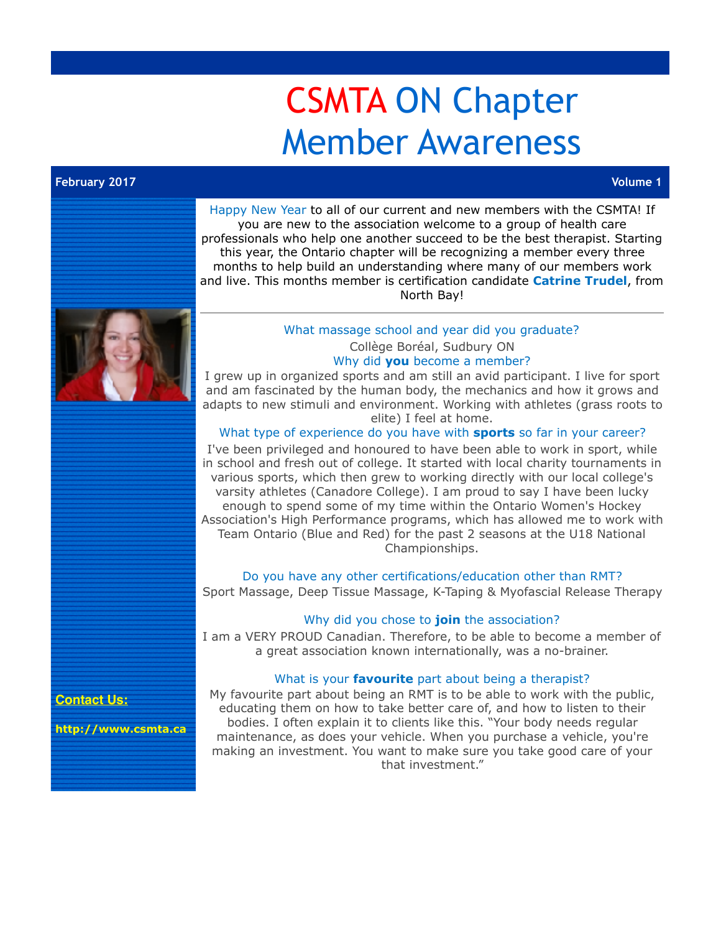## CSMTA ON Chapter Member Awareness

## **February 2017 Volume 1**

Happy New Year to all of our current and new members with the CSMTA! If you are new to the association welcome to a group of health care professionals who help one another succeed to be the best therapist. Starting this year, the Ontario chapter will be recognizing a member every three months to help build an understanding where many of our members work and live. This months member is certification candidate **Catrine Trudel**, from North Bay! What massage school and year did you graduate? Collège Boréal, Sudbury ON Why did **you** become a member? I grew up in organized sports and am still an avid participant. I live for sport and am fascinated by the human body, the mechanics and how it grows and adapts to new stimuli and environment. Working with athletes (grass roots to elite) I feel at home. What type of experience do you have with **sports** so far in your career? I've been privileged and honoured to have been able to work in sport, while in school and fresh out of college. It started with local charity tournaments in various sports, which then grew to working directly with our local college's varsity athletes (Canadore College). I am proud to say I have been lucky enough to spend some of my time within the Ontario Women's Hockey Association's High Performance programs, which has allowed me to work with Team Ontario (Blue and Red) for the past 2 seasons at the U18 National Championships. Do you have any other certifications/education other than RMT? Sport Massage, Deep Tissue Massage, K-Taping & Myofascial Release Therapy Why did you chose to **join** the association? I am a VERY PROUD Canadian. Therefore, to be able to become a member of a great association known internationally, was a no-brainer. What is your **favourite** part about being a therapist? My favourite part about being an RMT is to be able to work with the public,

**Contact Us:**

**<http://www.csmta.ca>**

educating them on how to take better care of, and how to listen to their bodies. I often explain it to clients like this. "Your body needs regular maintenance, as does your vehicle. When you purchase a vehicle, you're making an investment. You want to make sure you take good care of your that investment."